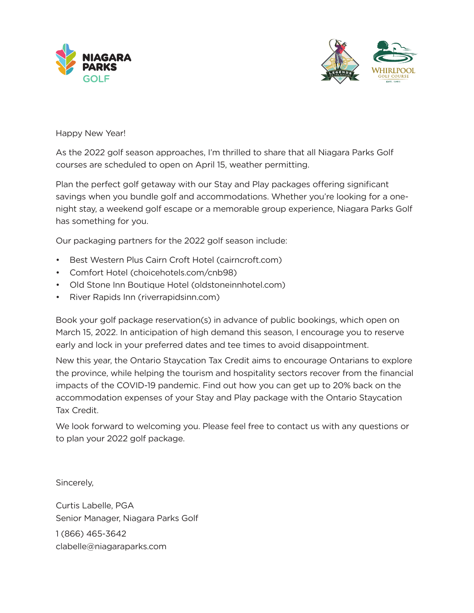



Happy New Year!

As the 2022 golf season approaches, I'm thrilled to share that all Niagara Parks Golf courses are scheduled to open on April 15, weather permitting.

Plan the perfect golf getaway with our Stay and Play packages offering significant savings when you bundle golf and accommodations. Whether you're looking for a onenight stay, a weekend golf escape or a memorable group experience, Niagara Parks Golf has something for you.

Our packaging partners for the 2022 golf season include:

- Best Western Plus Cairn Croft Hotel (cairncroft.com)
- Comfort Hotel (choicehotels.com/cnb98)
- Old Stone Inn Boutique Hotel (oldstoneinnhotel.com)
- River Rapids Inn (riverrapidsinn.com)

Book your golf package reservation(s) in advance of public bookings, which open on March 15, 2022. In anticipation of high demand this season, I encourage you to reserve early and lock in your preferred dates and tee times to avoid disappointment.

New this year, the Ontario Staycation Tax Credit aims to encourage Ontarians to explore the province, while helping the tourism and hospitality sectors recover from the financial impacts of the COVID-19 pandemic. Find out how you can get up to 20% back on the accommodation expenses of your Stay and Play package with the Ontario Staycation Tax Credit.

We look forward to welcoming you. Please feel free to contact us with any questions or to plan your 2022 golf package.

Sincerely,

Curtis Labelle, PGA Senior Manager, Niagara Parks Golf 1 (866) 465-3642 clabelle@niagaraparks.com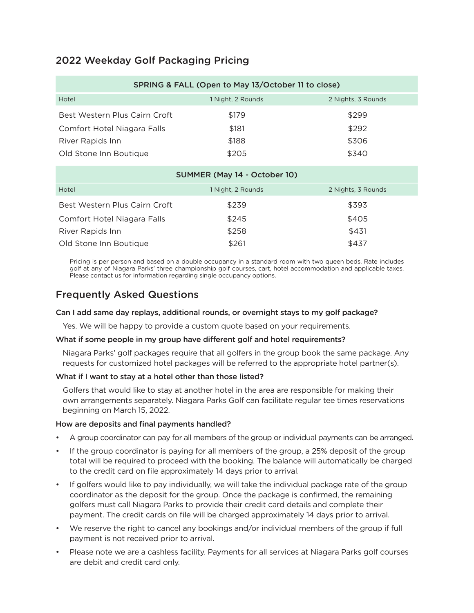# 2022 Weekday Golf Packaging Pricing

| SPRING & FALL (Open to May 13/October 11 to close) |                   |                    |  |  |
|----------------------------------------------------|-------------------|--------------------|--|--|
| Hotel                                              | 1 Night, 2 Rounds | 2 Nights, 3 Rounds |  |  |
| Best Western Plus Cairn Croft                      | \$179             | \$299              |  |  |
| Comfort Hotel Niagara Falls                        | \$181             | \$292              |  |  |
| River Rapids Inn                                   | \$188             | \$306              |  |  |
| Old Stone Inn Boutique                             | \$205             | \$340              |  |  |

| SUMMER (May 14 - October 10)  |                   |                    |  |  |
|-------------------------------|-------------------|--------------------|--|--|
| Hotel                         | 1 Night, 2 Rounds | 2 Nights, 3 Rounds |  |  |
| Best Western Plus Cairn Croft | \$239             | \$393              |  |  |
| Comfort Hotel Niagara Falls   | \$245             | \$405              |  |  |
| River Rapids Inn              | \$258             | \$431              |  |  |
| Old Stone Inn Boutique        | \$261             | \$437              |  |  |

Pricing is per person and based on a double occupancy in a standard room with two queen beds. Rate includes golf at any of Niagara Parks' three championship golf courses, cart, hotel accommodation and applicable taxes. Please contact us for information regarding single occupancy options.

## Frequently Asked Questions

#### Can I add same day replays, additional rounds, or overnight stays to my golf package?

Yes. We will be happy to provide a custom quote based on your requirements.

#### What if some people in my group have different golf and hotel requirements?

Niagara Parks' golf packages require that all golfers in the group book the same package. Any requests for customized hotel packages will be referred to the appropriate hotel partner(s).

## What if I want to stay at a hotel other than those listed?

Golfers that would like to stay at another hotel in the area are responsible for making their own arrangements separately. Niagara Parks Golf can facilitate regular tee times reservations beginning on March 15, 2022.

#### How are deposits and final payments handled?

- A group coordinator can pay for all members of the group or individual payments can be arranged.
- If the group coordinator is paying for all members of the group, a 25% deposit of the group total will be required to proceed with the booking. The balance will automatically be charged to the credit card on file approximately 14 days prior to arrival.
- If golfers would like to pay individually, we will take the individual package rate of the group coordinator as the deposit for the group. Once the package is confirmed, the remaining golfers must call Niagara Parks to provide their credit card details and complete their payment. The credit cards on file will be charged approximately 14 days prior to arrival.
- We reserve the right to cancel any bookings and/or individual members of the group if full payment is not received prior to arrival.
- Please note we are a cashless facility. Payments for all services at Niagara Parks golf courses are debit and credit card only.